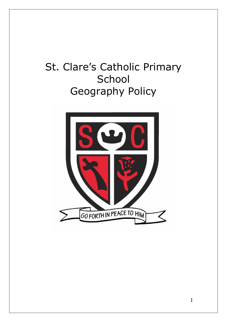# St. Clare's Catholic Primary **School** Geography Policy

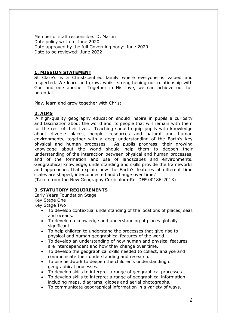Member of staff responsible: D. Martin Date policy written: June 2020 Date approved by the full Governing body: June 2020 Date to be reviewed: June 2022

## **1. MISSION STATEMENT**

St Clare's is a Christ-centred family where everyone is valued and respected. We learn and grow, whilst strengthening our relationship with God and one another. Together in His love, we can achieve our full potential.

Play, learn and grow together with Christ

## **2. AIMS**

*'*A high-quality geography education should inspire in pupils a curiosity and fascination about the world and its people that will remain with them for the rest of their lives. Teaching should equip pupils with knowledge about diverse places, people, resources and natural and human environments, together with a deep understanding of the Earth's key physical and human processes. As pupils progress, their growing knowledge about the world should help them to deepen their understanding of the interaction between physical and human processes, and of the formation and use of landscapes and environments. Geographical knowledge, understanding and skills provide the frameworks and approaches that explain how the Earth's features at different time scales are shaped, interconnected and change over time.'

(Taken from the New Geography Curriculum-Ref DFE 00186-2013)

# **3. STATUTORY REQUIREMENTS**

Early Years Foundation Stage Key Stage One Key Stage Two

- To develop contextual understanding of the locations of places, seas and oceans.
- To develop a knowledge and understanding of places globally significant.
- To help children to understand the processes that give rise to physical and human geographical features of the world.
- To develop an understanding of how human and physical features are interdependent and how they change over time.
- To develop the geographical skills needed to collect, analyse and communicate their understanding and research.
- To use fieldwork to deepen the children's understanding of geographical processes.
- To develop skills to interpret a range of geographical processes
- To develop skills to interpret a range of geographical information including maps, diagrams, globes and aerial photographs.
- To communicate geographical information in a variety of ways.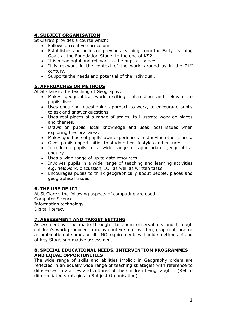# **4. SUBJECT ORGANISATION**

St Clare's provides a course which:

- Follows a creative curriculum
- Establishes and builds on previous learning, from the Early Learning Goals at the Foundation Stage, to the end of KS2.
- It is meaningful and relevant to the pupils it serves.
- It is relevant in the context of the world around us in the  $21^{st}$ century.
- Supports the needs and potential of the individual.

## **5. APPROACHES OR METHODS**

At St Clare's, the teaching of Geography:

- Makes geographical work exciting, interesting and relevant to pupils' lives.
- Uses enquiring, questioning approach to work, to encourage pupils to ask and answer questions.
- Uses real places at a range of scales, to illustrate work on places and themes.
- Draws on pupils' local knowledge and uses local issues when exploring the local area.
- Makes good use of pupils' own experiences in studying other places.
- Gives pupils opportunities to study other lifestyles and cultures.
- Introduces pupils to a wide range of appropriate geographical enquiry.
- Uses a wide range of up to date resources.
- Involves pupils in a wide range of teaching and learning activities e.g. fieldwork, discussion, ICT as well as written tasks.
- Encourages pupils to think geographically about people, places and geographical issues.

# **6. THE USE OF ICT**

At St Clare's the following aspects of computing are used: Computer Science Information technology Digital literacy

#### **7. ASSESSMENT AND TARGET SETTING**

Assessment will be made through classroom observations and through children's work produced in many contexts e.g. written, graphical, oral or a combination of some, or all. NC requirements will guide methods of end of Key Stage summative assessment.

#### **8. SPECIAL EDUCATIONAL NEEDS, INTERVENTION PROGRAMMES AND EQUAL OPPORTUNITIES**

The wide range of skills and abilities implicit in Geography orders are reflected in an equally wide range of teaching strategies with reference to differences in abilities and cultures of the children being taught. (Ref to differentiated strategies in Subject Organisation)